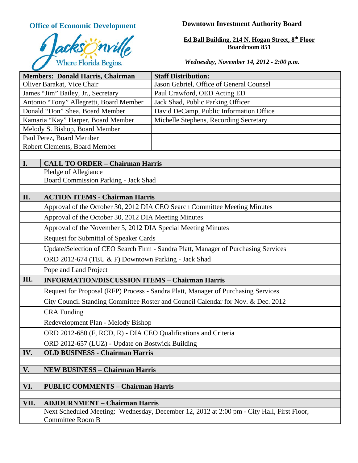

# **Office of Economic Development Downtown Investment Authority Board**

#### **Ed Ball Building, 214 N. Hogan Street, 8th Floor Boardroom 851**

## *Wednesday, November 14, 2012 - 2:00 p.m.*

| <b>Members: Donald Harris, Chairman</b>         |                                                                                           | <b>Staff Distribution:</b>               |  |
|-------------------------------------------------|-------------------------------------------------------------------------------------------|------------------------------------------|--|
| Oliver Barakat, Vice Chair                      |                                                                                           | Jason Gabriel, Office of General Counsel |  |
| James "Jim" Bailey, Jr., Secretary              |                                                                                           | Paul Crawford, OED Acting ED             |  |
| Antonio "Tony" Allegretti, Board Member         |                                                                                           | Jack Shad, Public Parking Officer        |  |
| Donald "Don" Shea, Board Member                 |                                                                                           | David DeCamp, Public Information Office  |  |
| Kamaria "Kay" Harper, Board Member              |                                                                                           | Michelle Stephens, Recording Secretary   |  |
| Melody S. Bishop, Board Member                  |                                                                                           |                                          |  |
| Paul Perez, Board Member                        |                                                                                           |                                          |  |
| Robert Clements, Board Member                   |                                                                                           |                                          |  |
|                                                 |                                                                                           |                                          |  |
| I.                                              | <b>CALL TO ORDER - Chairman Harris</b>                                                    |                                          |  |
|                                                 | Pledge of Allegiance<br>Board Commission Parking - Jack Shad                              |                                          |  |
|                                                 |                                                                                           |                                          |  |
| II.                                             | <b>ACTION ITEMS - Chairman Harris</b>                                                     |                                          |  |
|                                                 | Approval of the October 30, 2012 DIA CEO Search Committee Meeting Minutes                 |                                          |  |
|                                                 | Approval of the October 30, 2012 DIA Meeting Minutes                                      |                                          |  |
|                                                 | Approval of the November 5, 2012 DIA Special Meeting Minutes                              |                                          |  |
|                                                 | Request for Submittal of Speaker Cards                                                    |                                          |  |
|                                                 | Update/Selection of CEO Search Firm - Sandra Platt, Manager of Purchasing Services        |                                          |  |
|                                                 | ORD 2012-674 (TEU & F) Downtown Parking - Jack Shad                                       |                                          |  |
|                                                 | Pope and Land Project                                                                     |                                          |  |
| III.                                            | <b>INFORMATION/DISCUSSION ITEMS - Chairman Harris</b>                                     |                                          |  |
|                                                 | Request for Proposal (RFP) Process - Sandra Platt, Manager of Purchasing Services         |                                          |  |
|                                                 | City Council Standing Committee Roster and Council Calendar for Nov. & Dec. 2012          |                                          |  |
|                                                 | <b>CRA Funding</b>                                                                        |                                          |  |
|                                                 | Redevelopment Plan - Melody Bishop                                                        |                                          |  |
|                                                 | ORD 2012-680 (F, RCD, R) - DIA CEO Qualifications and Criteria                            |                                          |  |
|                                                 | ORD 2012-657 (LUZ) - Update on Bostwick Building                                          |                                          |  |
| IV.                                             | <b>OLD BUSINESS - Chairman Harris</b>                                                     |                                          |  |
|                                                 |                                                                                           |                                          |  |
| V.                                              | <b>NEW BUSINESS - Chairman Harris</b>                                                     |                                          |  |
| VI.<br><b>PUBLIC COMMENTS - Chairman Harris</b> |                                                                                           |                                          |  |
|                                                 |                                                                                           |                                          |  |
| VII.                                            | <b>ADJOURNMENT - Chairman Harris</b>                                                      |                                          |  |
|                                                 | Next Scheduled Meeting: Wednesday, December 12, 2012 at 2:00 pm - City Hall, First Floor, |                                          |  |
|                                                 | <b>Committee Room B</b>                                                                   |                                          |  |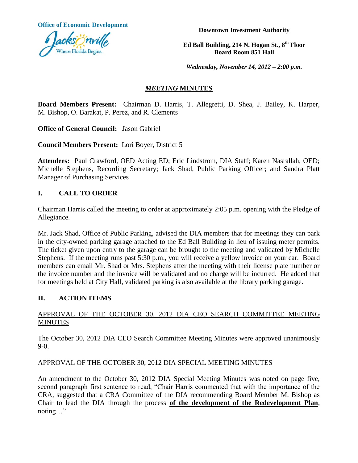**Office of Economic Development**



**Downtown Investment Authority**

**Ed Ball Building, 214 N. Hogan St., 8th Floor Board Room 851 Hall**

*Wednesday, November 14, 2012 – 2:00 p.m.*

## *MEETING* **MINUTES**

**Board Members Present:** Chairman D. Harris, T. Allegretti, D. Shea, J. Bailey, K. Harper, M. Bishop, O. Barakat, P. Perez, and R. Clements

**Office of General Council:** Jason Gabriel

**Council Members Present:** Lori Boyer, District 5

**Attendees:** Paul Crawford, OED Acting ED; Eric Lindstrom, DIA Staff; Karen Nasrallah, OED; Michelle Stephens, Recording Secretary; Jack Shad, Public Parking Officer; and Sandra Platt Manager of Purchasing Services

## **I. CALL TO ORDER**

Chairman Harris called the meeting to order at approximately 2:05 p.m. opening with the Pledge of Allegiance.

Mr. Jack Shad, Office of Public Parking, advised the DIA members that for meetings they can park in the city-owned parking garage attached to the Ed Ball Building in lieu of issuing meter permits. The ticket given upon entry to the garage can be brought to the meeting and validated by Michelle Stephens. If the meeting runs past 5:30 p.m., you will receive a yellow invoice on your car. Board members can email Mr. Shad or Mrs. Stephens after the meeting with their license plate number or the invoice number and the invoice will be validated and no charge will be incurred. He added that for meetings held at City Hall, validated parking is also available at the library parking garage.

## **II. ACTION ITEMS**

## APPROVAL OF THE OCTOBER 30, 2012 DIA CEO SEARCH COMMITTEE MEETING **MINUTES**

The October 30, 2012 DIA CEO Search Committee Meeting Minutes were approved unanimously 9-0.

#### APPROVAL OF THE OCTOBER 30, 2012 DIA SPECIAL MEETING MINUTES

An amendment to the October 30, 2012 DIA Special Meeting Minutes was noted on page five, second paragraph first sentence to read, "Chair Harris commented that with the importance of the CRA, suggested that a CRA Committee of the DIA recommending Board Member M. Bishop as Chair to lead the DIA through the process **of the development of the Redevelopment Plan**, noting…"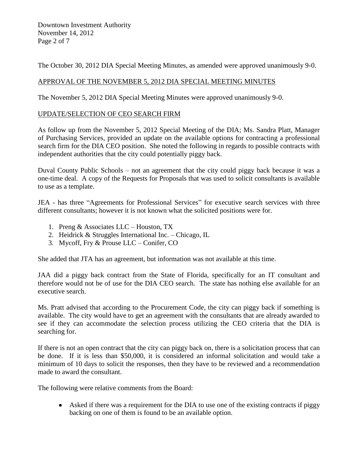Downtown Investment Authority November 14, 2012 Page 2 of 7

The October 30, 2012 DIA Special Meeting Minutes, as amended were approved unanimously 9-0.

## APPROVAL OF THE NOVEMBER 5, 2012 DIA SPECIAL MEETING MINUTES

The November 5, 2012 DIA Special Meeting Minutes were approved unanimously 9-0.

### UPDATE/SELECTION OF CEO SEARCH FIRM

As follow up from the November 5, 2012 Special Meeting of the DIA; Ms. Sandra Platt, Manager of Purchasing Services, provided an update on the available options for contracting a professional search firm for the DIA CEO position. She noted the following in regards to possible contracts with independent authorities that the city could potentially piggy back.

Duval County Public Schools – not an agreement that the city could piggy back because it was a one-time deal. A copy of the Requests for Proposals that was used to solicit consultants is available to use as a template.

JEA - has three "Agreements for Professional Services" for executive search services with three different consultants; however it is not known what the solicited positions were for.

- 1. Preng & Associates LLC Houston, TX
- 2. Heidrick & Struggles International Inc. Chicago, IL
- 3. Mycoff, Fry & Prouse LLC Conifer, CO

She added that JTA has an agreement, but information was not available at this time.

JAA did a piggy back contract from the State of Florida, specifically for an IT consultant and therefore would not be of use for the DIA CEO search. The state has nothing else available for an executive search.

Ms. Pratt advised that according to the Procurement Code, the city can piggy back if something is available. The city would have to get an agreement with the consultants that are already awarded to see if they can accommodate the selection process utilizing the CEO criteria that the DIA is searching for.

If there is not an open contract that the city can piggy back on, there is a solicitation process that can be done. If it is less than \$50,000, it is considered an informal solicitation and would take a minimum of 10 days to solicit the responses, then they have to be reviewed and a recommendation made to award the consultant.

The following were relative comments from the Board:

Asked if there was a requirement for the DIA to use one of the existing contracts if piggy backing on one of them is found to be an available option.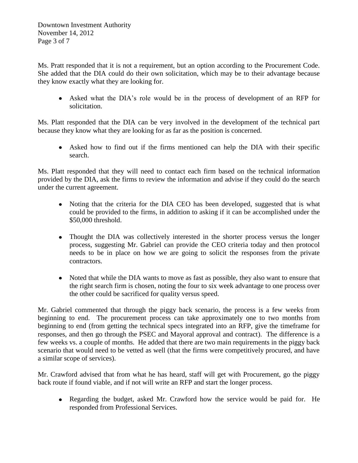Downtown Investment Authority November 14, 2012 Page 3 of 7

Ms. Pratt responded that it is not a requirement, but an option according to the Procurement Code. She added that the DIA could do their own solicitation, which may be to their advantage because they know exactly what they are looking for.

Asked what the DIA's role would be in the process of development of an RFP for solicitation.

Ms. Platt responded that the DIA can be very involved in the development of the technical part because they know what they are looking for as far as the position is concerned.

Asked how to find out if the firms mentioned can help the DIA with their specific search.

Ms. Platt responded that they will need to contact each firm based on the technical information provided by the DIA, ask the firms to review the information and advise if they could do the search under the current agreement.

- Noting that the criteria for the DIA CEO has been developed, suggested that is what could be provided to the firms, in addition to asking if it can be accomplished under the \$50,000 threshold.
- Thought the DIA was collectively interested in the shorter process versus the longer process, suggesting Mr. Gabriel can provide the CEO criteria today and then protocol needs to be in place on how we are going to solicit the responses from the private contractors.
- Noted that while the DIA wants to move as fast as possible, they also want to ensure that the right search firm is chosen, noting the four to six week advantage to one process over the other could be sacrificed for quality versus speed.

Mr. Gabriel commented that through the piggy back scenario, the process is a few weeks from beginning to end. The procurement process can take approximately one to two months from beginning to end (from getting the technical specs integrated into an RFP, give the timeframe for responses, and then go through the PSEC and Mayoral approval and contract). The difference is a few weeks vs. a couple of months. He added that there are two main requirements in the piggy back scenario that would need to be vetted as well (that the firms were competitively procured, and have a similar scope of services).

Mr. Crawford advised that from what he has heard, staff will get with Procurement, go the piggy back route if found viable, and if not will write an RFP and start the longer process.

Regarding the budget, asked Mr. Crawford how the service would be paid for. He responded from Professional Services.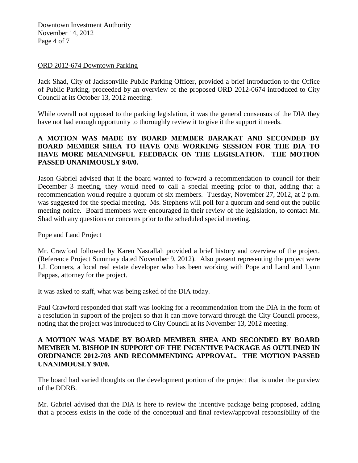Downtown Investment Authority November 14, 2012 Page 4 of 7

#### ORD 2012-674 Downtown Parking

Jack Shad, City of Jacksonville Public Parking Officer, provided a brief introduction to the Office of Public Parking, proceeded by an overview of the proposed ORD 2012-0674 introduced to City Council at its October 13, 2012 meeting.

While overall not opposed to the parking legislation, it was the general consensus of the DIA they have not had enough opportunity to thoroughly review it to give it the support it needs.

## **A MOTION WAS MADE BY BOARD MEMBER BARAKAT AND SECONDED BY BOARD MEMBER SHEA TO HAVE ONE WORKING SESSION FOR THE DIA TO HAVE MORE MEANINGFUL FEEDBACK ON THE LEGISLATION. THE MOTION PASSED UNANIMOUSLY 9/0/0.**

Jason Gabriel advised that if the board wanted to forward a recommendation to council for their December 3 meeting, they would need to call a special meeting prior to that, adding that a recommendation would require a quorum of six members. Tuesday, November 27, 2012, at 2 p.m. was suggested for the special meeting. Ms. Stephens will poll for a quorum and send out the public meeting notice. Board members were encouraged in their review of the legislation, to contact Mr. Shad with any questions or concerns prior to the scheduled special meeting.

#### Pope and Land Project

Mr. Crawford followed by Karen Nasrallah provided a brief history and overview of the project. (Reference Project Summary dated November 9, 2012). Also present representing the project were J.J. Conners, a local real estate developer who has been working with Pope and Land and Lynn Pappas, attorney for the project.

It was asked to staff, what was being asked of the DIA today.

Paul Crawford responded that staff was looking for a recommendation from the DIA in the form of a resolution in support of the project so that it can move forward through the City Council process, noting that the project was introduced to City Council at its November 13, 2012 meeting.

## **A MOTION WAS MADE BY BOARD MEMBER SHEA AND SECONDED BY BOARD MEMBER M. BISHOP IN SUPPORT OF THE INCENTIVE PACKAGE AS OUTLINED IN ORDINANCE 2012-703 AND RECOMMENDING APPROVAL. THE MOTION PASSED UNANIMOUSLY 9/0/0.**

The board had varied thoughts on the development portion of the project that is under the purview of the DDRB.

Mr. Gabriel advised that the DIA is here to review the incentive package being proposed, adding that a process exists in the code of the conceptual and final review/approval responsibility of the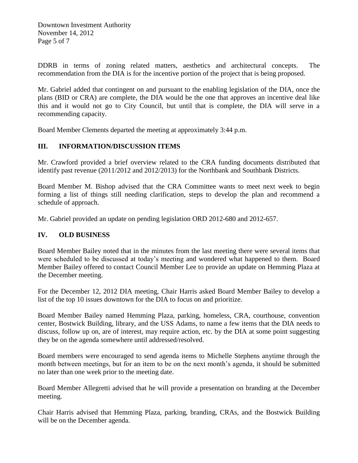Downtown Investment Authority November 14, 2012 Page 5 of 7

DDRB in terms of zoning related matters, aesthetics and architectural concepts. The recommendation from the DIA is for the incentive portion of the project that is being proposed.

Mr. Gabriel added that contingent on and pursuant to the enabling legislation of the DIA, once the plans (BID or CRA) are complete, the DIA would be the one that approves an incentive deal like this and it would not go to City Council, but until that is complete, the DIA will serve in a recommending capacity.

Board Member Clements departed the meeting at approximately 3:44 p.m.

## **III. INFORMATION/DISCUSSION ITEMS**

Mr. Crawford provided a brief overview related to the CRA funding documents distributed that identify past revenue (2011/2012 and 2012/2013) for the Northbank and Southbank Districts.

Board Member M. Bishop advised that the CRA Committee wants to meet next week to begin forming a list of things still needing clarification, steps to develop the plan and recommend a schedule of approach.

Mr. Gabriel provided an update on pending legislation ORD 2012-680 and 2012-657.

## **IV. OLD BUSINESS**

Board Member Bailey noted that in the minutes from the last meeting there were several items that were scheduled to be discussed at today's meeting and wondered what happened to them. Board Member Bailey offered to contact Council Member Lee to provide an update on Hemming Plaza at the December meeting.

For the December 12, 2012 DIA meeting, Chair Harris asked Board Member Bailey to develop a list of the top 10 issues downtown for the DIA to focus on and prioritize.

Board Member Bailey named Hemming Plaza, parking, homeless, CRA, courthouse, convention center, Bostwick Building, library, and the USS Adams, to name a few items that the DIA needs to discuss, follow up on, are of interest, may require action, etc. by the DIA at some point suggesting they be on the agenda somewhere until addressed/resolved.

Board members were encouraged to send agenda items to Michelle Stephens anytime through the month between meetings, but for an item to be on the next month's agenda, it should be submitted no later than one week prior to the meeting date.

Board Member Allegretti advised that he will provide a presentation on branding at the December meeting.

Chair Harris advised that Hemming Plaza, parking, branding, CRAs, and the Bostwick Building will be on the December agenda.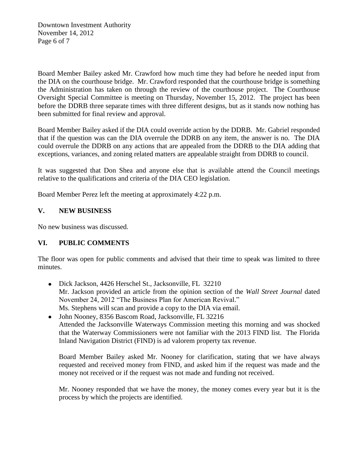Downtown Investment Authority November 14, 2012 Page 6 of 7

Board Member Bailey asked Mr. Crawford how much time they had before he needed input from the DIA on the courthouse bridge. Mr. Crawford responded that the courthouse bridge is something the Administration has taken on through the review of the courthouse project. The Courthouse Oversight Special Committee is meeting on Thursday, November 15, 2012. The project has been before the DDRB three separate times with three different designs, but as it stands now nothing has been submitted for final review and approval.

Board Member Bailey asked if the DIA could override action by the DDRB. Mr. Gabriel responded that if the question was can the DIA overrule the DDRB on any item, the answer is no. The DIA could overrule the DDRB on any actions that are appealed from the DDRB to the DIA adding that exceptions, variances, and zoning related matters are appealable straight from DDRB to council.

It was suggested that Don Shea and anyone else that is available attend the Council meetings relative to the qualifications and criteria of the DIA CEO legislation.

Board Member Perez left the meeting at approximately 4:22 p.m.

## **V. NEW BUSINESS**

No new business was discussed.

## **VI. PUBLIC COMMENTS**

The floor was open for public comments and advised that their time to speak was limited to three minutes.

- Dick Jackson, 4426 Herschel St., Jacksonville, FL 32210 Mr. Jackson provided an article from the opinion section of the *Wall Street Journal* dated November 24, 2012 "The Business Plan for American Revival." Ms. Stephens will scan and provide a copy to the DIA via email.
- John Nooney, 8356 Bascom Road, Jacksonville, FL 32216 Attended the Jacksonville Waterways Commission meeting this morning and was shocked that the Waterway Commissioners were not familiar with the 2013 FIND list. The Florida Inland Navigation District (FIND) is ad valorem property tax revenue.

Board Member Bailey asked Mr. Nooney for clarification, stating that we have always requested and received money from FIND, and asked him if the request was made and the money not received or if the request was not made and funding not received.

Mr. Nooney responded that we have the money, the money comes every year but it is the process by which the projects are identified.